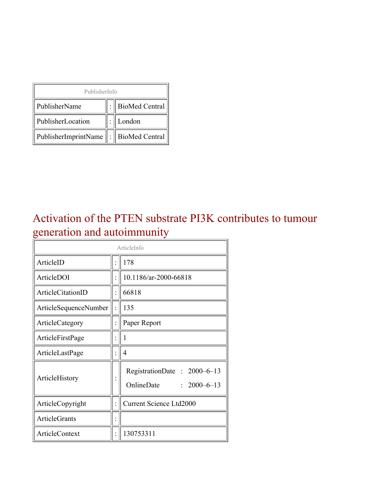| PublisherInfo                                   |  |                    |  |  |
|-------------------------------------------------|--|--------------------|--|--|
| PublisherName                                   |  | :   BioMed Central |  |  |
| PublisherLocation                               |  | London             |  |  |
| PublisherImprintName $\ \cdot\ $ BioMed Central |  |                    |  |  |

### Activation of the PTEN substrate PI3K contributes to tumour generation and autoimmunity

| ArticleInfo              |  |                                                                |  |
|--------------------------|--|----------------------------------------------------------------|--|
| ArticleID                |  | 178                                                            |  |
| ArticleDOI               |  | 10.1186/ar-2000-66818                                          |  |
| <b>ArticleCitationID</b> |  | 66818                                                          |  |
| ArticleSequenceNumber    |  | 135                                                            |  |
| ArticleCategory          |  | Paper Report                                                   |  |
| ArticleFirstPage         |  | 1                                                              |  |
| ArticleLastPage          |  | 4                                                              |  |
| ArticleHistory           |  | RegistrationDate: 2000–6–13<br>OnlineDate<br>$: 2000 - 6 - 13$ |  |
| ArticleCopyright         |  | <b>Current Science Ltd2000</b>                                 |  |
| <b>ArticleGrants</b>     |  |                                                                |  |
| <b>ArticleContext</b>    |  | 130753311                                                      |  |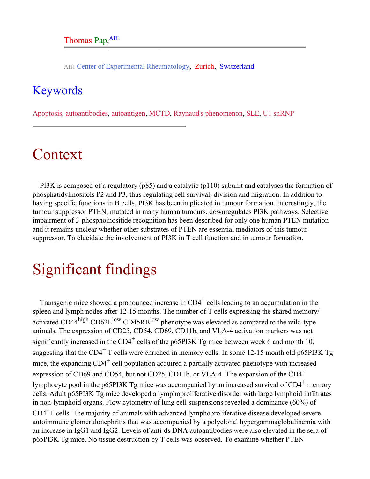Aff1 Center of Experimental Rheumatology, Zurich, Switzerland

### <span id="page-1-0"></span>Keywords

Apoptosis, autoantibodies, autoantigen, MCTD, Raynaud's phenomenon, SLE, U1 snRNP

# Context

PI3K is composed of a regulatory (p85) and a catalytic (p110) subunit and catalyses the formation of phosphatidylinositols P2 and P3, thus regulating cell survival, division and migration. In addition to having specific functions in B cells, PI3K has been implicated in tumour formation. Interestingly, the tumour suppressor PTEN, mutated in many human tumours, downregulates PI3K pathways. Selective impairment of 3-phosphoinositide recognition has been described for only one human PTEN mutation and it remains unclear whether other substrates of PTEN are essential mediators of this tumour suppressor. To elucidate the involvement of PI3K in T cell function and in tumour formation.

# Significant findings

Transgenic mice showed a pronounced increase in  $CD4^+$  cells leading to an accumulation in the spleen and lymph nodes after 12-15 months. The number of T cells expressing the shared memory/ activated CD44<sup>high</sup> CD62L<sup>low</sup> CD45RB<sup>low</sup> phenotype was elevated as compared to the wild-type animals. The expression of CD25, CD54, CD69, CD11b, and VLA-4 activation markers was not significantly increased in the CD4<sup>+</sup> cells of the p65PI3K Tg mice between week 6 and month 10, suggesting that the  $CD4^+$  T cells were enriched in memory cells. In some 12-15 month old p65PI3K Tg mice, the expanding  $CD4^+$  cell population acquired a partially activated phenotype with increased expression of CD69 and CD54, but not CD25, CD11b, or VLA-4. The expansion of the  $CD4^+$ lymphocyte pool in the p65PI3K Tg mice was accompanied by an increased survival of  $CD4^+$  memory cells. Adult p65PI3K Tg mice developed a lymphoproliferative disorder with large lymphoid infiltrates in non-lymphoid organs. Flow cytometry of lung cell suspensions revealed a dominance (60%) of CD4+T cells. The majority of animals with advanced lymphoproliferative disease developed severe autoimmune glomerulonephritis that was accompanied by a polyclonal hypergammaglobulinemia with an increase in IgG1 and IgG2. Levels of anti-ds DNA autoantibodies were also elevated in the sera of p65PI3K Tg mice. No tissue destruction by T cells was observed. To examine whether PTEN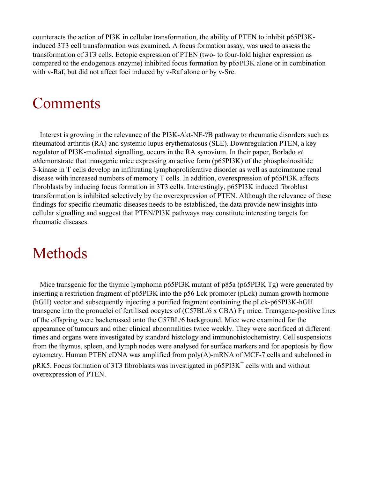counteracts the action of PI3K in cellular transformation, the ability of PTEN to inhibit p65PI3Kinduced 3T3 cell transformation was examined. A focus formation assay, was used to assess the transformation of 3T3 cells. Ectopic expression of PTEN (two- to four-fold higher expression as compared to the endogenous enzyme) inhibited focus formation by p65PI3K alone or in combination with v-Raf, but did not affect foci induced by v-Raf alone or by v-Src.

## Comments

Interest is growing in the relevance of the PI3K-Akt-NF-?B pathway to rheumatic disorders such as rheumatoid arthritis (RA) and systemic lupus erythematosus (SLE). Downregulation PTEN, a key regulator of PI3K-mediated signalling, occurs in the RA synovium. In their paper, Borlado *et al*demonstrate that transgenic mice expressing an active form (p65PI3K) of the phosphoinositide 3-kinase in T cells develop an infiltrating lymphoproliferative disorder as well as autoimmune renal disease with increased numbers of memory T cells. In addition, overexpression of p65PI3K affects fibroblasts by inducing focus formation in 3T3 cells. Interestingly, p65PI3K induced fibroblast transformation is inhibited selectively by the overexpression of PTEN. Although the relevance of these findings for specific rheumatic diseases needs to be established, the data provide new insights into cellular signalling and suggest that PTEN/PI3K pathways may constitute interesting targets for rheumatic diseases.

## Methods

Mice transgenic for the thymic lymphoma p65PI3K mutant of p85a (p65PI3K Tg) were generated by inserting a restriction fragment of p65PI3K into the p56 Lck promoter (pLck) human growth hormone (hGH) vector and subsequently injecting a purified fragment containing the pLck-p65PI3K-hGH transgene into the pronuclei of fertilised oocytes of (C57BL/6 x CBA) F1 mice. Transgene-positive lines of the offspring were backcrossed onto the C57BL/6 background. Mice were examined for the appearance of tumours and other clinical abnormalities twice weekly. They were sacrificed at different times and organs were investigated by standard histology and immunohistochemistry. Cell suspensions from the thymus, spleen, and lymph nodes were analysed for surface markers and for apoptosis by flow cytometry. Human PTEN cDNA was amplified from poly(A)-mRNA of MCF-7 cells and subcloned in pRK5. Focus formation of 3T3 fibroblasts was investigated in  $p65PI3K^+$  cells with and without overexpression of PTEN.